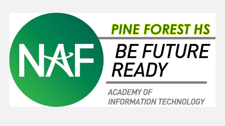

# **PINE FOREST HS BE FUTURE READY**

**ACADEMY OF INFORMATION TECHNOLOGY**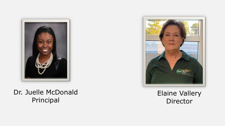

#### Dr. Juelle McDonald Principal



#### Elaine Vallery Director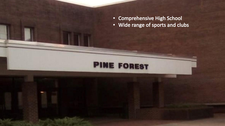• Comprehensive High School

**PINE FOREST** 

• Wide range of sports and clubs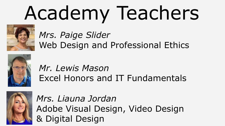# Academy Teachers



# *Mrs. Paige Slider* Web Design and Professional Ethics



# *Mr. Lewis Mason* Excel Honors and IT Fundamentals



*Mrs. Liauna Jordan* Adobe Visual Design, Video Design & Digital Design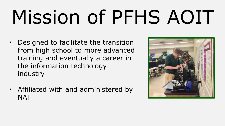# Mission of PFHS AOIT

- Designed to facilitate the transition from high school to more advanced training and eventually a career in the information technology industry
- Affiliated with and administered by **NAF**

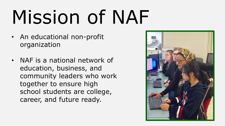# Mission of NAF

- An educational non-profit organization
- NAF is a national network of education, business, and community leaders who work together to ensure high school students are college, career, and future ready.

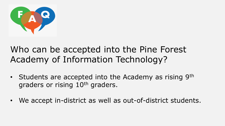

## Who can be accepted into the Pine Forest Academy of Information Technology?

- Students are accepted into the Academy as rising 9th graders or rising 10<sup>th</sup> graders.
- We accept in-district as well as out-of-district students.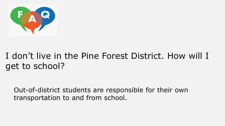

# I don't live in the Pine Forest District. How will I get to school?

Out-of-district students are responsible for their own transportation to and from school.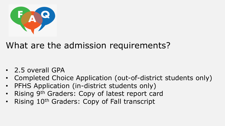

## What are the admission requirements?

- 2.5 overall GPA
- Completed Choice Application (out-of-district students only)
- PFHS Application (in-district students only)
- Rising 9<sup>th</sup> Graders: Copy of latest report card
- Rising 10<sup>th</sup> Graders: Copy of Fall transcript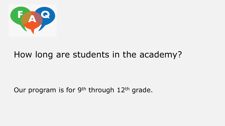

### How long are students in the academy?

#### Our program is for 9<sup>th</sup> through 12<sup>th</sup> grade.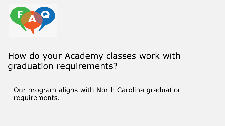

## How do your Academy classes work with graduation requirements?

Our program aligns with North Carolina graduation requirements.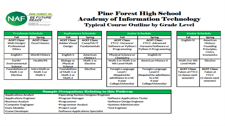

#### **Pine Forest High School Academy of Information Technology Typical Course Outline by Grade Level**

| <b>Freshman Schedule</b><br><b>Sophomore Schedule</b> |                                                                                                                                          |                                                 | <b>Junior Schedule</b> |                                                                                         |                                                                                                                                     | <b>Senior Schedule</b>       |                                                                         |
|-------------------------------------------------------|------------------------------------------------------------------------------------------------------------------------------------------|-------------------------------------------------|------------------------|-----------------------------------------------------------------------------------------|-------------------------------------------------------------------------------------------------------------------------------------|------------------------------|-------------------------------------------------------------------------|
| Fall                                                  | <b>Spring</b>                                                                                                                            |                                                 | Fall                   | <b>Spring</b>                                                                           |                                                                                                                                     | Fall                         | <b>Spring</b>                                                           |
| <b>AOIT Class:</b>                                    | <b>AOIT Class:</b>                                                                                                                       |                                                 | <b>AOIT Class:</b>     | <b>AOIT Class:</b>                                                                      |                                                                                                                                     | English <sub>IV</sub>        | American                                                                |
| <b>Adobe Visual</b>                                   | <b>CompTIAIT</b>                                                                                                                         |                                                 | FTCC: Harware/         | <b>FTCC: Advanced</b>                                                                   |                                                                                                                                     |                              | History:                                                                |
| Design                                                | <b>Fundamentals</b>                                                                                                                      |                                                 | Software or Python I   | Harware/Software or                                                                     |                                                                                                                                     |                              | <b>Founding</b>                                                         |
|                                                       |                                                                                                                                          |                                                 | Programming            |                                                                                         |                                                                                                                                     |                              | Principles,                                                             |
|                                                       |                                                                                                                                          |                                                 |                        |                                                                                         |                                                                                                                                     |                              | Civics.                                                                 |
|                                                       |                                                                                                                                          |                                                 |                        |                                                                                         |                                                                                                                                     |                              | <b>Economics</b>                                                        |
|                                                       | <b>History I</b>                                                                                                                         |                                                 | Chemistry              |                                                                                         |                                                                                                                                     |                              |                                                                         |
|                                                       |                                                                                                                                          |                                                 | Math 2 or Math 3 or    |                                                                                         |                                                                                                                                     |                              | Elective                                                                |
|                                                       | Elective                                                                                                                                 |                                                 | 4th Level Math         |                                                                                         |                                                                                                                                     | Level Math                   |                                                                         |
| Science                                               |                                                                                                                                          |                                                 |                        |                                                                                         |                                                                                                                                     |                              |                                                                         |
|                                                       |                                                                                                                                          |                                                 |                        |                                                                                         |                                                                                                                                     |                              | <b>AOIT Class:</b>                                                      |
|                                                       |                                                                                                                                          |                                                 |                        |                                                                                         |                                                                                                                                     |                              | Taken at                                                                |
| Math 2 or                                             |                                                                                                                                          |                                                 | (Required for          |                                                                                         |                                                                                                                                     |                              | <b>FTCC</b>                                                             |
| Math 3                                                |                                                                                                                                          |                                                 | admittance to a NC     | to a NC                                                                                 |                                                                                                                                     | semester)                    | (2 classes each                                                         |
|                                                       |                                                                                                                                          |                                                 | 4-year                 | 4-year                                                                                  |                                                                                                                                     |                              | semester)                                                               |
|                                                       |                                                                                                                                          |                                                 |                        |                                                                                         |                                                                                                                                     |                              |                                                                         |
| <b>AOIT Class:</b><br><b>Excel Honors</b>             | <b>English II</b><br><b>World History</b><br><b>Biology or</b><br><b>Physical</b><br>Intro Math or<br><b>Foundations</b><br>of Math 1 or | <b>American</b><br>Math 1 or<br><b>Elective</b> |                        | <b>Physical Science or</b><br><b>Foregin Language</b><br>Level I<br>College/University) | Engilsh III<br><b>American History II</b><br><b>Foregin Language</b><br>Level II<br>(Required for admittance<br>College/University) | <b>Python II Programming</b> | Math 3 or 4th<br><b>AOIT Class:</b><br>Taken at FTCC<br>(2 classes each |

| <b>Sample Occupations Relating to this Pathway</b> |                                         |                                     |  |  |  |  |  |
|----------------------------------------------------|-----------------------------------------|-------------------------------------|--|--|--|--|--|
| <b>•Applications Analyst</b>                       |                                         | *Operating System Designer/Engineer |  |  |  |  |  |
| <b>Applications Engineer</b>                       | <b>•Program Manager</b>                 | <b>Software Applications Tester</b> |  |  |  |  |  |
| <b>Business Analyst</b>                            | <b>•Programmer</b>                      | <b>Software Design Engineer</b>     |  |  |  |  |  |
| <b>Computer Engingeer</b>                          | *Programmer Analyst                     | <b>.</b> Systems Administrator      |  |  |  |  |  |
| <b>Data Modeler</b>                                | <b>•Project Lead</b>                    | <b>•Test Engineer</b>               |  |  |  |  |  |
| <b>Game Developer</b>                              | <b>Software Applications Specialist</b> |                                     |  |  |  |  |  |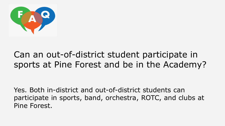

## Can an out-of-district student participate in sports at Pine Forest and be in the Academy?

Yes. Both in-district and out-of-district students can participate in sports, band, orchestra, ROTC, and clubs at Pine Forest.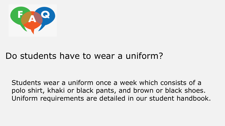

## Do students have to wear a uniform?

Students wear a uniform once a week which consists of a polo shirt, khaki or black pants, and brown or black shoes. Uniform requirements are detailed in our student handbook.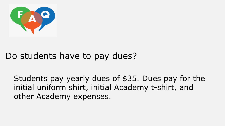

## Do students have to pay dues?

Students pay yearly dues of \$35. Dues pay for the initial uniform shirt, initial Academy t-shirt, and other Academy expenses.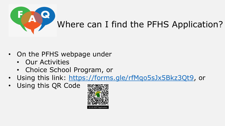

- On the PFHS webpage under
	- Our Activities
	- Choice School Program, or
- Using this link: [https://forms.gle/rfMqo5sJx5Bkz3Qt9,](https://forms.gle/rfMqo5sJx5Bkz3Qt9) or
- Using this QR Code

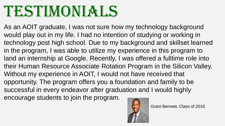# TESTIMONIAL

As an AOIT graduate, I was not sure how my technology background would play out in my life. I had no intention of studying or working in technology post high school. Due to my background and skillset learned in the program, I was able to utilize my experience in this program to land an internship at Google. Recently, I was offered a fulltime role into their Human Resource Associate Rotation Program in the Silicon Valley. Without my experience in AOIT, I would not have received that opportunity. The program offers you a foundation and family to be successful in every endeavor after graduation and I would highly encourage students to join the program.



Grant Bennett, Class of 2016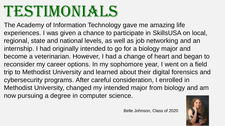# TESTIMONIAL.

The Academy of Information Technology gave me amazing life experiences. I was given a chance to participate in SkillsUSA on local, regional, state and national levels, as well as job networking and an internship. I had originally intended to go for a biology major and become a veterinarian. However, I had a change of heart and began to reconsider my career options. In my sophomore year, I went on a field trip to Methodist University and learned about their digital forensics and cybersecurity programs. After careful consideration, I enrolled in Methodist University, changed my intended major from biology and am now pursuing a degree in computer science.

Belle Johnson, Class of 2020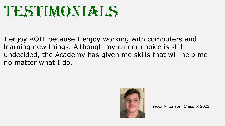

I enjoy AOIT because I enjoy working with computers and learning new things. Although my career choice is still undecided, the Academy has given me skills that will help me no matter what I do.



Trevor Antonson, Class of 2021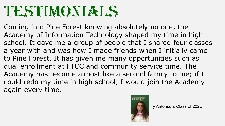# TESTIMONIAL.

Coming into Pine Forest knowing absolutely no one, the Academy of Information Technology shaped my time in high school. It gave me a group of people that I shared four classes a year with and was how I made friends when I initially came to Pine Forest. It has given me many opportunities such as dual enrollment at FTCC and community service time. The Academy has become almost like a second family to me; if I could redo my time in high school, I would join the Academy again every time.



Ty Antonson, Class of 2021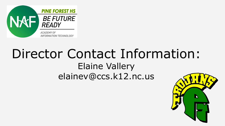

# Director Contact Information: Elaine Vallery elainev@ccs.k12.nc.us